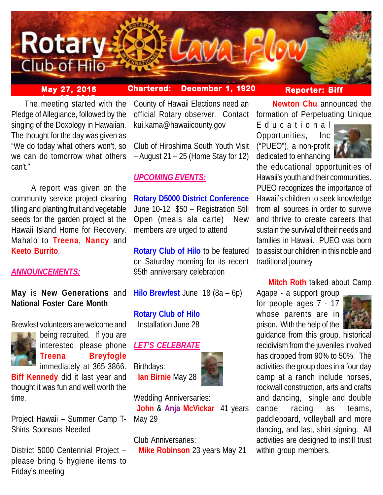

# **May 27, 2016 Chartered: December 1, 1920**

## **Reporter: Biff**

**The meeting started with the** Pledge of Allegiance, followed by the singing of the Doxology in Hawaiian. The thought for the day was given as "We do today what others won't, so we can do tomorrow what others can't."

 A report was given on the community service project clearing tilling and planting fruit and vegetable seeds for the garden project at the Hawaii Island Home for Recovery. Mahalo to **Treena**, **Nancy** and **Keeto Burrito**.

# *ANNOUNCEMENTS:*

# **May** is **New Generations** and **National Foster Care Month**

Brewfest volunteers are welcome and



being recruited. If you are interested, please phone **Treena Breyfogle** immediately at 365-3866.

**Biff Kennedy** did it last year and thought it was fun and well worth the time.

Project Hawaii – Summer Camp T-Shirts Sponsors Needed

District 5000 Centennial Project – please bring 5 hygiene items to Friday's meeting

County of Hawaii Elections need an official Rotary observer. Contact kui.kama@hawaiicounty.gov

Club of Hiroshima South Youth Visit – August 21 – 25 (Home Stay for 12)

# *UPCOMING EVENTS:*

**Rotary D5000 District Conference** June 10-12 \$50 – Registration Still Open (meals ala carte) New members are urged to attend

**Rotary Club of Hilo** to be featured on Saturday morning for its recent 95th anniversary celebration

**Hilo Brewfest** June 18 (8a – 6p)

**Rotary Club of Hilo** Installation June 28

## *LET'S CELEBRATE*

Birthdays:  **Ian Birnie** May 28



Wedding Anniversaries: **John** & **Anja McVickar** 41 years May 29

Club Anniversaries:

 **Mike Robinson** 23 years May 21

 **Newton Chu** announced the formation of Perpetuating Unique

Educational Opportunities, Inc ("PUEO"), a non-profit dedicated to enhancing



the educational opportunities of Hawaii's youth and their communities. PUEO recognizes the importance of Hawaii's children to seek knowledge from all sources in order to survive and thrive to create careers that sustain the survival of their needs and families in Hawaii. PUEO was born to assist our children in this noble and traditional journey.

## **Mitch Roth** talked about Camp

Agape - a support group for people ages 7 - 17 whose parents are in prison. With the help of the



guidance from this group, historical recidivism from the juveniles involved has dropped from 90% to 50%. The activities the group does in a four day camp at a ranch include horses, rockwall construction, arts and crafts and dancing, single and double canoe racing as teams, paddleboard, volleyball and more dancing, and last, shirt signing. All activities are designed to instill trust within group members.